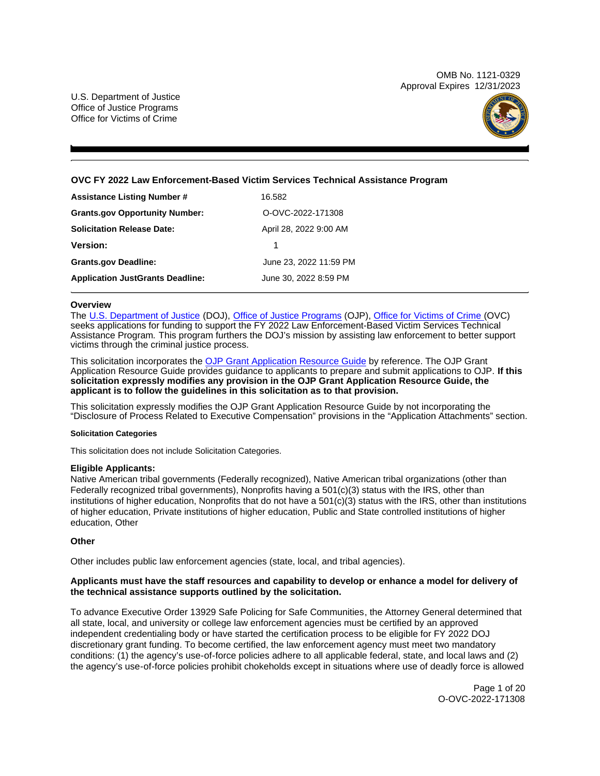OMB No. 1121-0329 Approval Expires 12/31/2023

U.S. Department of Justice Office of Justice Programs Office for Victims of Crime



# **OVC FY 2022 Law Enforcement-Based Victim Services Technical Assistance Program**

| <b>Assistance Listing Number #</b>      | 16.582                 |
|-----------------------------------------|------------------------|
| <b>Grants.gov Opportunity Number:</b>   | O-OVC-2022-171308      |
| <b>Solicitation Release Date:</b>       | April 28, 2022 9:00 AM |
| <b>Version:</b>                         | 1                      |
| <b>Grants.gov Deadline:</b>             | June 23, 2022 11:59 PM |
| <b>Application JustGrants Deadline:</b> | June 30, 2022 8:59 PM  |

## **Overview**

The [U.S. Department of Justice](https://www.usdoj.gov/) (DOJ), [Office of Justice Programs](https://www.ojp.usdoj.gov/) (OJP), [Office for Victims of Crime \(](http://www.ovc.gov/)OVC) seeks applications for funding to support the FY 2022 Law Enforcement-Based Victim Services Technical Assistance Program. This program furthers the DOJ's mission by assisting law enforcement to better support victims through the criminal justice process.

This solicitation incorporates the [OJP Grant Application Resource Guide](https://www.ojp.gov/funding/Apply/Resources/Grant-App-Resource-Guide.htm) by reference. The OJP Grant Application Resource Guide provides guidance to applicants to prepare and submit applications to OJP. **If this solicitation expressly modifies any provision in the OJP Grant Application Resource Guide, the applicant is to follow the guidelines in this solicitation as to that provision.** 

This solicitation expressly modifies the OJP Grant Application Resource Guide by not incorporating the "Disclosure of Process Related to Executive Compensation" provisions in the "Application Attachments" section.

# **Solicitation Categories**

This solicitation does not include Solicitation Categories.

# **Eligible Applicants:**

Native American tribal governments (Federally recognized), Native American tribal organizations (other than Federally recognized tribal governments), Nonprofits having a 501(c)(3) status with the IRS, other than institutions of higher education, Nonprofits that do not have a 501(c)(3) status with the IRS, other than institutions of higher education, Private institutions of higher education, Public and State controlled institutions of higher education, Other

# **Other**

Other includes public law enforcement agencies (state, local, and tribal agencies).

# **Applicants must have the staff resources and capability to develop or enhance a model for delivery of the technical assistance supports outlined by the solicitation.**

To advance Executive Order 13929 Safe Policing for Safe Communities, the Attorney General determined that all state, local, and university or college law enforcement agencies must be certified by an approved independent credentialing body or have started the certification process to be eligible for FY 2022 DOJ discretionary grant funding. To become certified, the law enforcement agency must meet two mandatory conditions: (1) the agency's use-of-force policies adhere to all applicable federal, state, and local laws and (2) the agency's use-of-force policies prohibit chokeholds except in situations where use of deadly force is allowed

> Page 1 of 20 O-OVC-2022-171308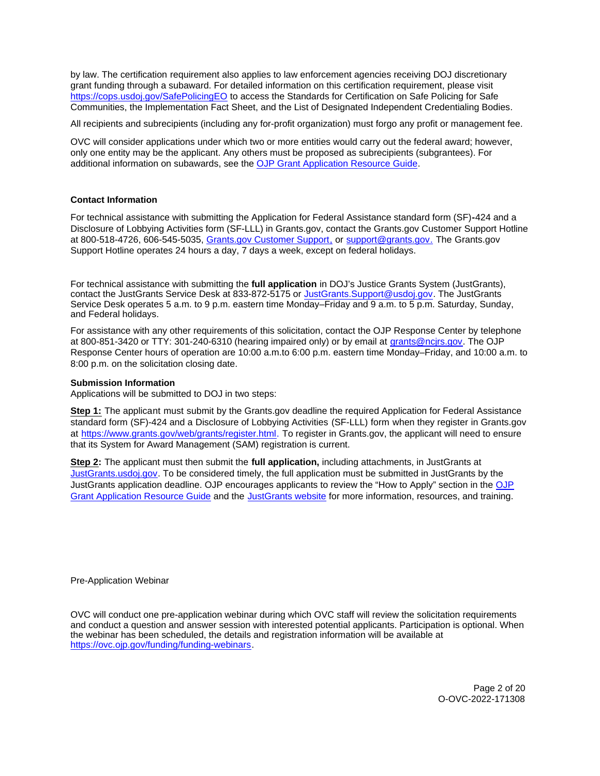<span id="page-1-0"></span>by law. The certification requirement also applies to law enforcement agencies receiving DOJ discretionary grant funding through a subaward. For detailed information on this certification requirement, please visit [https://cops.usdoj.gov/SafePolicingEO](https://cops.usdoj.gov/SafePolicingEO%20) to access the Standards for Certification on Safe Policing for Safe Communities, the Implementation Fact Sheet, and the List of Designated Independent Credentialing Bodies.

All recipients and subrecipients (including any for-profit organization) must forgo any profit or management fee.

OVC will consider applications under which two or more entities would carry out the federal award; however, only one entity may be the applicant. Any others must be proposed as subrecipients (subgrantees). For additional information on subawards, see the [OJP Grant Application Resource Guide.](https://www.ojp.gov/funding/Apply/Resources/Grant-App-Resource-Guide.htm) 

# **Contact Information**

For technical assistance with submitting the Application for Federal Assistance standard form (SF)**-**424 and a Disclosure of Lobbying Activities form (SF-LLL) in [Grants.gov,](https://Grants.gov) contact the [Grants.gov](https://Grants.gov) Customer Support Hotline at 800-518-4726, 606-545-5035, [Grants.gov Customer Support,](https://www.grants.gov/web/grants/support.html) or [support@grants.gov.](mailto:support@grants.gov) The [Grants.gov](https://Grants.gov) Support Hotline operates 24 hours a day, 7 days a week, except on federal holidays.

For technical assistance with submitting the **full application** in DOJ's Justice Grants System (JustGrants), contact the JustGrants Service Desk at 833-872-5175 or [JustGrants.Support@usdoj.gov.](mailto:JustGrants.Support@usdoj.gov) The JustGrants Service Desk operates 5 a.m. to 9 p.m. eastern time Monday–Friday and 9 a.m. to 5 p.m. Saturday, Sunday, and Federal holidays.

For assistance with any other requirements of this solicitation, contact the OJP Response Center by telephone at 800-851-3420 or TTY: 301-240-6310 (hearing impaired only) or by email at [grants@ncjrs.gov.](mailto:grants@ncjrs.gov) The OJP Response Center hours of operation are 10:00 a.m.to 6:00 p.m. eastern time Monday–Friday, and 10:00 a.m. to 8:00 p.m. on the solicitation closing date.

# **Submission Information**

Applications will be submitted to DOJ in two steps:

**Step 1:** The applicant must submit by the [Grants.gov](https://Grants.gov) deadline the required Application for Federal Assistance standard form (SF)-424 and a Disclosure of Lobbying Activities (SF-LLL) form when they register in [Grants.gov](https://Grants.gov) at [https://www.grants.gov/web/grants/register.html.](https://www.grants.gov/web/grants/register.html) To register in [Grants.gov](https://Grants.gov), the applicant will need to ensure that its System for Award Management (SAM) registration is current.

**Step 2:** The applicant must then submit the **full application,** including attachments, in JustGrants at [JustGrants.usdoj.gov.](https://justicegrants.usdoj.gov/) To be considered timely, the full application must be submitted in JustGrants by the JustGrants application deadline. [OJP](https://www.ojp.gov/funding/apply/ojp-grant-application-resource-guide#apply) encourages applicants to review the "How to Apply" section in the OJP [Grant Application Resource Guide](https://www.ojp.gov/funding/apply/ojp-grant-application-resource-guide#apply) and the [JustGrants website](https://justicegrants.usdoj.gov/news) for more information, resources, and training.

Pre-Application Webinar

OVC will conduct one pre-application webinar during which OVC staff will review the solicitation requirements and conduct a question and answer session with interested potential applicants. Participation is optional. When the webinar has been scheduled, the details and registration information will be available at [https://ovc.ojp.gov/funding/funding-webinars.](https://ovc.ojp.gov/funding/funding-webinars)

> Page 2 of 20 O-OVC-2022-171308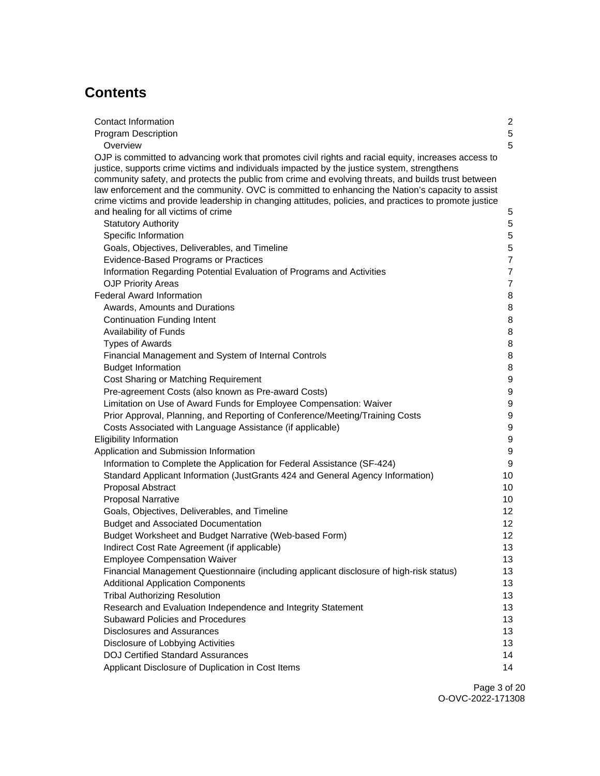# **Contents**

| Contact Information                                                                                                                                                                                                                                                                                                                                                                                            | $\overline{c}$<br>$\sqrt{5}$         |
|----------------------------------------------------------------------------------------------------------------------------------------------------------------------------------------------------------------------------------------------------------------------------------------------------------------------------------------------------------------------------------------------------------------|--------------------------------------|
| <b>Program Description</b><br>Overview                                                                                                                                                                                                                                                                                                                                                                         | 5                                    |
| OJP is committed to advancing work that promotes civil rights and racial equity, increases access to<br>justice, supports crime victims and individuals impacted by the justice system, strengthens<br>community safety, and protects the public from crime and evolving threats, and builds trust between<br>law enforcement and the community. OVC is committed to enhancing the Nation's capacity to assist |                                      |
| crime victims and provide leadership in changing attitudes, policies, and practices to promote justice                                                                                                                                                                                                                                                                                                         |                                      |
| and healing for all victims of crime                                                                                                                                                                                                                                                                                                                                                                           | $\mathbf 5$                          |
| <b>Statutory Authority</b>                                                                                                                                                                                                                                                                                                                                                                                     | $\overline{5}$                       |
| Specific Information                                                                                                                                                                                                                                                                                                                                                                                           | $\sqrt{5}$                           |
| Goals, Objectives, Deliverables, and Timeline                                                                                                                                                                                                                                                                                                                                                                  | $\overline{5}$                       |
| Evidence-Based Programs or Practices                                                                                                                                                                                                                                                                                                                                                                           | $\overline{7}$                       |
| Information Regarding Potential Evaluation of Programs and Activities                                                                                                                                                                                                                                                                                                                                          | $\overline{7}$                       |
| <b>OJP Priority Areas</b>                                                                                                                                                                                                                                                                                                                                                                                      | $\overline{7}$                       |
| <b>Federal Award Information</b>                                                                                                                                                                                                                                                                                                                                                                               | 8                                    |
| Awards, Amounts and Durations                                                                                                                                                                                                                                                                                                                                                                                  | 8                                    |
| <b>Continuation Funding Intent</b>                                                                                                                                                                                                                                                                                                                                                                             | 8                                    |
| Availability of Funds                                                                                                                                                                                                                                                                                                                                                                                          | 8                                    |
| <b>Types of Awards</b>                                                                                                                                                                                                                                                                                                                                                                                         | 8                                    |
| Financial Management and System of Internal Controls                                                                                                                                                                                                                                                                                                                                                           | 8                                    |
| <b>Budget Information</b>                                                                                                                                                                                                                                                                                                                                                                                      | 8                                    |
| Cost Sharing or Matching Requirement                                                                                                                                                                                                                                                                                                                                                                           | $\boldsymbol{9}$                     |
| Pre-agreement Costs (also known as Pre-award Costs)                                                                                                                                                                                                                                                                                                                                                            | $\boldsymbol{9}$                     |
| Limitation on Use of Award Funds for Employee Compensation: Waiver                                                                                                                                                                                                                                                                                                                                             | $\boldsymbol{9}$<br>$\boldsymbol{9}$ |
| Prior Approval, Planning, and Reporting of Conference/Meeting/Training Costs<br>Costs Associated with Language Assistance (if applicable)                                                                                                                                                                                                                                                                      | $\boldsymbol{9}$                     |
| <b>Eligibility Information</b>                                                                                                                                                                                                                                                                                                                                                                                 | $\boldsymbol{9}$                     |
| Application and Submission Information                                                                                                                                                                                                                                                                                                                                                                         | $\boldsymbol{9}$                     |
| Information to Complete the Application for Federal Assistance (SF-424)                                                                                                                                                                                                                                                                                                                                        | 9                                    |
| Standard Applicant Information (JustGrants 424 and General Agency Information)                                                                                                                                                                                                                                                                                                                                 | 10                                   |
| Proposal Abstract                                                                                                                                                                                                                                                                                                                                                                                              | 10                                   |
| <b>Proposal Narrative</b>                                                                                                                                                                                                                                                                                                                                                                                      | 10 <sup>1</sup>                      |
| Goals, Objectives, Deliverables, and Timeline                                                                                                                                                                                                                                                                                                                                                                  | 12                                   |
| <b>Budget and Associated Documentation</b>                                                                                                                                                                                                                                                                                                                                                                     | 12 <sub>2</sub>                      |
| Budget Worksheet and Budget Narrative (Web-based Form)                                                                                                                                                                                                                                                                                                                                                         | 12 <sub>2</sub>                      |
| Indirect Cost Rate Agreement (if applicable)                                                                                                                                                                                                                                                                                                                                                                   | 13                                   |
| <b>Employee Compensation Waiver</b>                                                                                                                                                                                                                                                                                                                                                                            | 13                                   |
| Financial Management Questionnaire (including applicant disclosure of high-risk status)                                                                                                                                                                                                                                                                                                                        | 13                                   |
| <b>Additional Application Components</b>                                                                                                                                                                                                                                                                                                                                                                       | 13                                   |
| <b>Tribal Authorizing Resolution</b>                                                                                                                                                                                                                                                                                                                                                                           | 13                                   |
| Research and Evaluation Independence and Integrity Statement                                                                                                                                                                                                                                                                                                                                                   | 13                                   |
| <b>Subaward Policies and Procedures</b>                                                                                                                                                                                                                                                                                                                                                                        | 13                                   |
| <b>Disclosures and Assurances</b>                                                                                                                                                                                                                                                                                                                                                                              | 13                                   |
| Disclosure of Lobbying Activities                                                                                                                                                                                                                                                                                                                                                                              | 13                                   |
| <b>DOJ Certified Standard Assurances</b>                                                                                                                                                                                                                                                                                                                                                                       | 14                                   |
| Applicant Disclosure of Duplication in Cost Items                                                                                                                                                                                                                                                                                                                                                              | 14                                   |

Page 3 of 20 O-OVC-2022-171308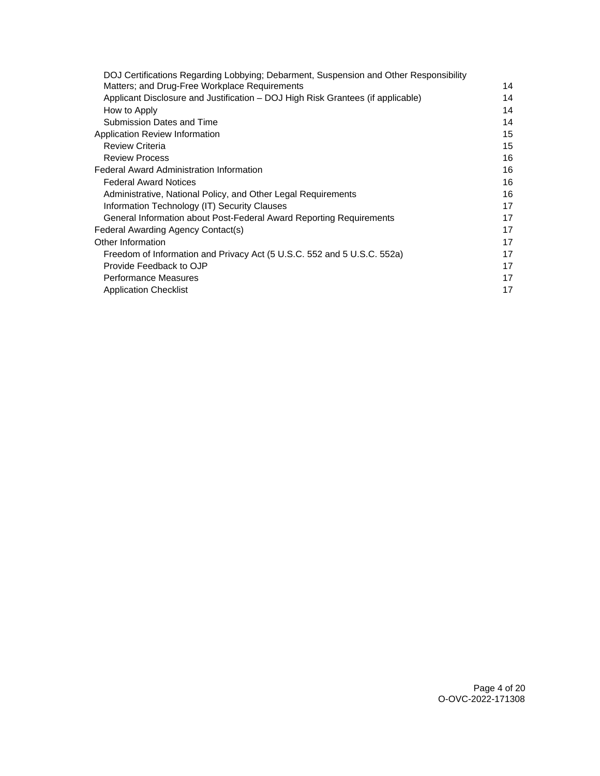| DOJ Certifications Regarding Lobbying; Debarment, Suspension and Other Responsibility |    |
|---------------------------------------------------------------------------------------|----|
| Matters; and Drug-Free Workplace Requirements                                         | 14 |
| Applicant Disclosure and Justification – DOJ High Risk Grantees (if applicable)       | 14 |
| How to Apply                                                                          | 14 |
| Submission Dates and Time                                                             | 14 |
| Application Review Information                                                        | 15 |
| <b>Review Criteria</b>                                                                | 15 |
| <b>Review Process</b>                                                                 | 16 |
| Federal Award Administration Information                                              | 16 |
| <b>Federal Award Notices</b>                                                          | 16 |
| Administrative, National Policy, and Other Legal Requirements                         | 16 |
| Information Technology (IT) Security Clauses                                          | 17 |
| General Information about Post-Federal Award Reporting Requirements                   | 17 |
| Federal Awarding Agency Contact(s)                                                    | 17 |
| Other Information                                                                     | 17 |
| Freedom of Information and Privacy Act (5 U.S.C. 552 and 5 U.S.C. 552a)               | 17 |
| Provide Feedback to OJP                                                               | 17 |
| Performance Measures                                                                  | 17 |
| <b>Application Checklist</b>                                                          | 17 |
|                                                                                       |    |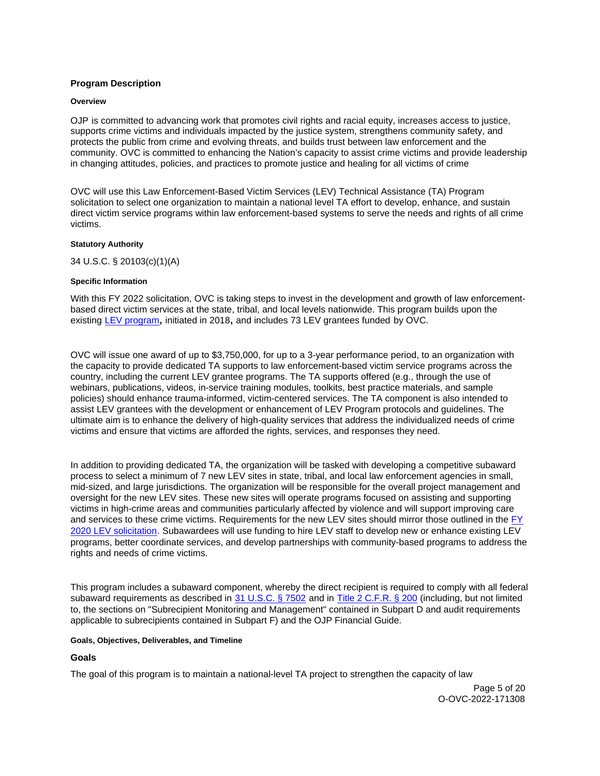# <span id="page-4-0"></span>**Program Description**

## **Overview**

OJP is committed to advancing work that promotes civil rights and racial equity, increases access to justice, supports crime victims and individuals impacted by the justice system, strengthens community safety, and protects the public from crime and evolving threats, and builds trust between law enforcement and the community. OVC is committed to enhancing the Nation's capacity to assist crime victims and provide leadership in changing attitudes, policies, and practices to promote justice and healing for all victims of crime

OVC will use this Law Enforcement-Based Victim Services (LEV) Technical Assistance (TA) Program solicitation to select one organization to maintain a national level TA effort to develop, enhance, and sustain direct victim service programs within law enforcement-based systems to serve the needs and rights of all crime victims.

## **Statutory Authority**

34 U.S.C. § 20103(c)(1)(A)

## **Specific Information**

With this FY 2022 solicitation, OVC is taking steps to invest in the development and growth of law enforcementbased direct victim services at the state, tribal, and local levels nationwide. This program builds upon the existing [LEV program](https://ovc.ojp.gov/sites/g/files/xyckuh226/files/media/document/OVC-2018-14540.pdf)**,** initiated in 2018**,** and includes 73 LEV grantees funded by OVC.

OVC will issue one award of up to \$3,750,000, for up to a 3-year performance period, to an organization with the capacity to provide dedicated TA supports to law enforcement-based victim service programs across the country, including the current LEV grantee programs. The TA supports offered (e.g., through the use of webinars, publications, videos, in-service training modules, toolkits, best practice materials, and sample policies) should enhance trauma-informed, victim-centered services. The TA component is also intended to assist LEV grantees with the development or enhancement of LEV Program protocols and guidelines. The ultimate aim is to enhance the delivery of high-quality services that address the individualized needs of crime victims and ensure that victims are afforded the rights, services, and responses they need.

In addition to providing dedicated TA, the organization will be tasked with developing a competitive subaward process to select a minimum of 7 new LEV sites in state, tribal, and local law enforcement agencies in small, mid-sized, and large jurisdictions. The organization will be responsible for the overall project management and oversight for the new LEV sites. These new sites will operate programs focused on assisting and supporting victims in high-crime areas and communities particularly affected by violence and will support improving care and services to these crime victims. Requirements for the new LEV sites should mirror those outlined in the [FY](https://ovc.ojp.gov/sites/g/files/xyckuh226/files/media/document/OVC-2020-17556.pdf)  [2020 LEV solicitation.](https://ovc.ojp.gov/sites/g/files/xyckuh226/files/media/document/OVC-2020-17556.pdf) Subawardees will use funding to hire LEV staff to develop new or enhance existing LEV programs, better coordinate services, and develop partnerships with community-based programs to address the rights and needs of crime victims.

This program includes a subaward component, whereby the direct recipient is required to comply with all federal subaward requirements as described in [31 U.S.C. § 7502](#) and in [Title 2 C.F.R. § 200](http://www.ecfr.gov/cgi-bin/text-idx?SID=c640a14060d68b2376eb86e611f8fa40&mc=true&node=pt2.1.200&rgn=div5) (including, but not limited to, the sections on "Subrecipient Monitoring and Management" contained in Subpart D and audit requirements applicable to subrecipients contained in Subpart F) and the OJP Financial Guide.

## **Goals, Objectives, Deliverables, and Timeline**

# **Goals**

The goal of this program is to maintain a national-level TA project to strengthen the capacity of law

Page 5 of 20 O-OVC-2022-171308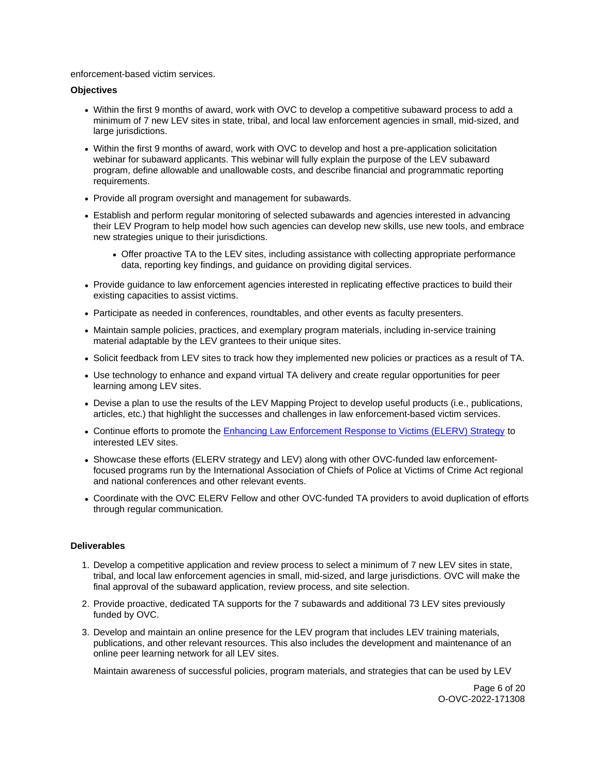enforcement-based victim services.

# **Objectives**

- Within the first 9 months of award, work with OVC to develop a competitive subaward process to add a minimum of 7 new LEV sites in state, tribal, and local law enforcement agencies in small, mid-sized, and large jurisdictions.
- Within the first 9 months of award, work with OVC to develop and host a pre-application solicitation webinar for subaward applicants. This webinar will fully explain the purpose of the LEV subaward program, define allowable and unallowable costs, and describe financial and programmatic reporting requirements.
- Provide all program oversight and management for subawards.
- Establish and perform regular monitoring of selected subawards and agencies interested in advancing their LEV Program to help model how such agencies can develop new skills, use new tools, and embrace new strategies unique to their jurisdictions.
	- Offer proactive TA to the LEV sites, including assistance with collecting appropriate performance data, reporting key findings, and guidance on providing digital services.
- Provide guidance to law enforcement agencies interested in replicating effective practices to build their existing capacities to assist victims.
- Participate as needed in conferences, roundtables, and other events as faculty presenters.
- Maintain sample policies, practices, and exemplary program materials, including in-service training material adaptable by the LEV grantees to their unique sites.
- Solicit feedback from LEV sites to track how they implemented new policies or practices as a result of TA.
- Use technology to enhance and expand virtual TA delivery and create regular opportunities for peer learning among LEV sites.
- Devise a plan to use the results of the LEV Mapping Project to develop useful products (i.e., publications, articles, etc.) that highlight the successes and challenges in law enforcement-based victim services.
- Continue efforts to promote the **Enhancing Law Enforcement Response to Victims (ELERV)** Strategy to interested LEV sites.
- Showcase these efforts (ELERV strategy and LEV) along with other OVC-funded law enforcementfocused programs run by the International Association of Chiefs of Police at Victims of Crime Act regional and national conferences and other relevant events.
- Coordinate with the OVC ELERV Fellow and other OVC-funded TA providers to avoid duplication of efforts through regular communication.

# **Deliverables**

- 1. Develop a competitive application and review process to select a minimum of 7 new LEV sites in state, tribal, and local law enforcement agencies in small, mid-sized, and large jurisdictions. OVC will make the final approval of the subaward application, review process, and site selection.
- 2. Provide proactive, dedicated TA supports for the 7 subawards and additional 73 LEV sites previously funded by OVC.
- 3. Develop and maintain an online presence for the LEV program that includes LEV training materials, publications, and other relevant resources. This also includes the development and maintenance of an online peer learning network for all LEV sites.

Maintain awareness of successful policies, program materials, and strategies that can be used by LEV

Page 6 of 20 O-OVC-2022-171308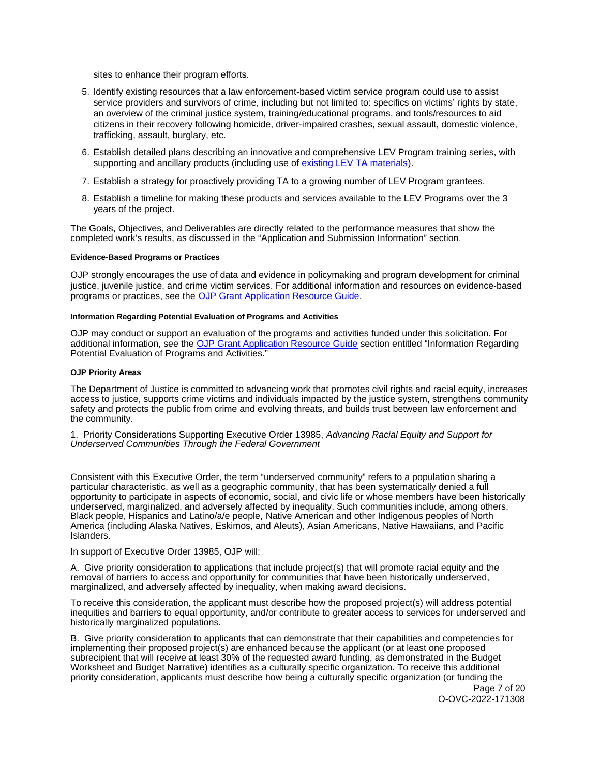<span id="page-6-0"></span>sites to enhance their program efforts.

- 5. Identify existing resources that a law enforcement-based victim service program could use to assist service providers and survivors of crime, including but not limited to: specifics on victims' rights by state, an overview of the criminal justice system, training/educational programs, and tools/resources to aid citizens in their recovery following homicide, driver-impaired crashes, sexual assault, domestic violence, trafficking, assault, burglary, etc.
- 6. Establish detailed plans describing an innovative and comprehensive LEV Program training series, with supporting and ancillary products (including use of [existing LEV TA materials\)](https://www.theiacp.org/projects/law-enforcement-based-victim-services-lev).
- 7. Establish a strategy for proactively providing TA to a growing number of LEV Program grantees.
- 8. Establish a timeline for making these products and services available to the LEV Programs over the 3 years of the project.

The Goals, Objectives, and Deliverables are directly related to the performance measures that show the completed work's results, as discussed in the "Application and Submission Information" section.

## **Evidence-Based Programs or Practices**

OJP strongly encourages the use of data and evidence in policymaking and program development for criminal justice, juvenile justice, and crime victim services. For additional information and resources on evidence-based programs or practices, see the [OJP Grant Application Resource Guide.](https://www.ojp.gov/funding/apply/ojp-grant-application-resource-guide#evidence-based)

#### **Information Regarding Potential Evaluation of Programs and Activities**

OJP may conduct or support an evaluation of the programs and activities funded under this solicitation. For additional information, see the [OJP Grant Application Resource Guide](https://www.ojp.gov/funding/apply/ojp-grant-application-resource-guide#potential-evaluation) section entitled "Information Regarding Potential Evaluation of Programs and Activities."

#### **OJP Priority Areas**

The Department of Justice is committed to advancing work that promotes civil rights and racial equity, increases access to justice, supports crime victims and individuals impacted by the justice system, strengthens community safety and protects the public from crime and evolving threats, and builds trust between law enforcement and the community.

1. Priority Considerations Supporting Executive Order 13985, Advancing Racial Equity and Support for Underserved Communities Through the Federal Government

Consistent with this Executive Order, the term "underserved community" refers to a population sharing a particular characteristic, as well as a geographic community, that has been systematically denied a full opportunity to participate in aspects of economic, social, and civic life or whose members have been historically underserved, marginalized, and adversely affected by inequality. Such communities include, among others, Black people, Hispanics and Latino/a/e people, Native American and other Indigenous peoples of North America (including Alaska Natives, Eskimos, and Aleuts), Asian Americans, Native Hawaiians, and Pacific Islanders.

#### In support of Executive Order 13985, OJP will:

A. Give priority consideration to applications that include project(s) that will promote racial equity and the removal of barriers to access and opportunity for communities that have been historically underserved, marginalized, and adversely affected by inequality, when making award decisions.

To receive this consideration, the applicant must describe how the proposed project(s) will address potential inequities and barriers to equal opportunity, and/or contribute to greater access to services for underserved and historically marginalized populations.

B. Give priority consideration to applicants that can demonstrate that their capabilities and competencies for implementing their proposed project(s) are enhanced because the applicant (or at least one proposed subrecipient that will receive at least 30% of the requested award funding, as demonstrated in the Budget Worksheet and Budget Narrative) identifies as a culturally specific organization. To receive this additional priority consideration, applicants must describe how being a culturally specific organization (or funding the

Page 7 of 20 O-OVC-2022-171308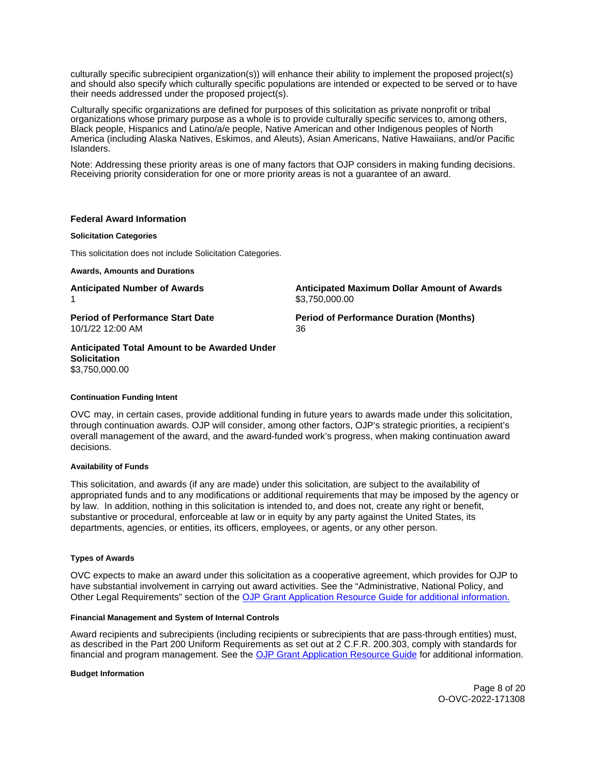<span id="page-7-0"></span>culturally specific subrecipient organization(s)) will enhance their ability to implement the proposed project(s) and should also specify which culturally specific populations are intended or expected to be served or to have their needs addressed under the proposed project(s).

Culturally specific organizations are defined for purposes of this solicitation as private nonprofit or tribal organizations whose primary purpose as a whole is to provide culturally specific services to, among others, Black people, Hispanics and Latino/a/e people, Native American and other Indigenous peoples of North America (including Alaska Natives, Eskimos, and Aleuts), Asian Americans, Native Hawaiians, and/or Pacific Islanders.

Note: Addressing these priority areas is one of many factors that OJP considers in making funding decisions. Receiving priority consideration for one or more priority areas is not a guarantee of an award.

## **Federal Award Information**

## **Solicitation Categories**

This solicitation does not include Solicitation Categories.

**Awards, Amounts and Durations** 

10/1/22 12:00 AM 36

**Anticipated Number of Awards Anticipated Maximum Dollar Amount of Awards**  \$[3,750,000.00](https://3,750,000.00)

**Period of Performance Start Date**  Period of Performance Duration (Months)

**Anticipated Total Amount to be Awarded Under Solicitation**  [\\$3,750,000.00](https://3,750,000.00) 

#### **Continuation Funding Intent**

OVC may, in certain cases, provide additional funding in future years to awards made under this solicitation, through continuation awards. OJP will consider, among other factors, OJP's strategic priorities, a recipient's overall management of the award, and the award-funded work's progress, when making continuation award decisions.

# **Availability of Funds**

This solicitation, and awards (if any are made) under this solicitation, are subject to the availability of appropriated funds and to any modifications or additional requirements that may be imposed by the agency or by law. In addition, nothing in this solicitation is intended to, and does not, create any right or benefit, substantive or procedural, enforceable at law or in equity by any party against the United States, its departments, agencies, or entities, its officers, employees, or agents, or any other person.

#### **Types of Awards**

OVC expects to make an award under this solicitation as a cooperative agreement, which provides for OJP to have substantial involvement in carrying out award activities. See the "Administrative, National Policy, and Other Legal Requirements" section of the [OJP Grant Application Resource Guide](https://ojp.gov/funding/Apply/Resources/Grant-App-Resource-Guide.htm) for additional information.

#### **Financial Management and System of Internal Controls**

Award recipients and subrecipients (including recipients or subrecipients that are pass-through entities) must, as described in the Part 200 Uniform Requirements as set out at 2 C.F.R. 200.303, comply with standards for financial and program management. See the [OJP Grant Application Resource Guide](https://www.ojp.gov/funding/apply/ojp-grant-application-resource-guide#fm-internal-controls) for additional information.

## **Budget Information**

Page 8 of 20 O-OVC-2022-171308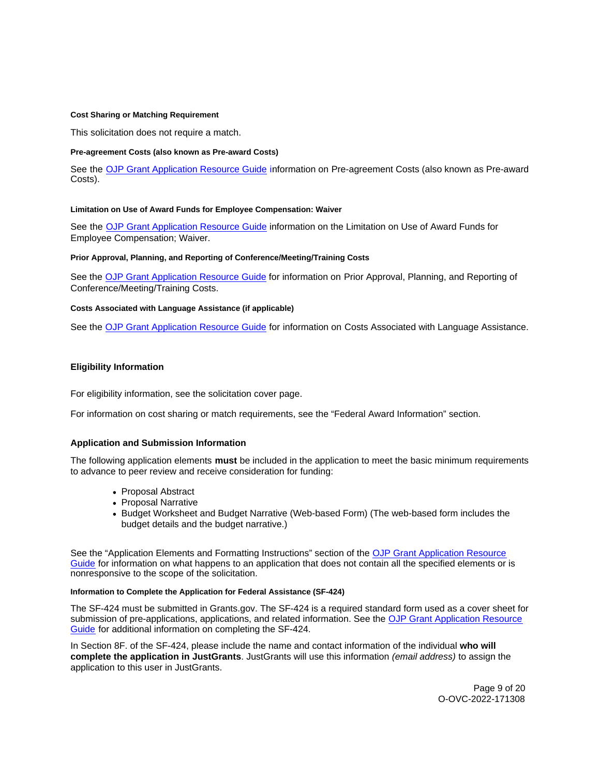## <span id="page-8-0"></span>**Cost Sharing or Matching Requirement**

This solicitation does not require a match.

## **Pre-agreement Costs (also known as Pre-award Costs)**

See the [OJP Grant Application Resource Guide](https://www.ojp.gov/funding/apply/ojp-grant-application-resource-guide#pre-agreement-costs) information on Pre-agreement Costs (also known as Pre-award Costs).

## **Limitation on Use of Award Funds for Employee Compensation: Waiver**

See the [OJP Grant Application Resource Guide](https://www.ojp.gov/funding/apply/ojp-grant-application-resource-guide#limitation-use-award) information on the Limitation on Use of Award Funds for Employee Compensation; Waiver.

## **Prior Approval, Planning, and Reporting of Conference/Meeting/Training Costs**

See the [OJP Grant Application Resource Guide](https://www.ojp.gov/funding/apply/ojp-grant-application-resource-guide#prior-approval) for information on Prior Approval, Planning, and Reporting of Conference/Meeting/Training Costs.

## **Costs Associated with Language Assistance (if applicable)**

See the [OJP Grant Application Resource Guide](https://www.ojp.gov/funding/apply/ojp-grant-application-resource-guide#costs-associated) for information on Costs Associated with Language Assistance.

# **Eligibility Information**

For eligibility information, see the solicitation cover page.

For information on cost sharing or match requirements, see the "Federal Award Information" section.

# **Application and Submission Information**

The following application elements **must** be included in the application to meet the basic minimum requirements to advance to peer review and receive consideration for funding:

- Proposal Abstract
- Proposal Narrative
- Budget Worksheet and Budget Narrative (Web-based Form) (The web-based form includes the budget details and the budget narrative.)

See the "Application Elements and Formatting Instructions" section of the [OJP Grant Application Resource](https://www.ojp.gov/funding/apply/ojp-grant-application-resource-guide#application-elements)  [Guide](https://www.ojp.gov/funding/apply/ojp-grant-application-resource-guide#application-elements) for information on what happens to an application that does not contain all the specified elements or is nonresponsive to the scope of the solicitation.

## **Information to Complete the Application for Federal Assistance (SF-424)**

The SF-424 must be submitted in [Grants.gov](https://Grants.gov). The SF-424 is a required standard form used as a cover sheet for submission of pre-applications, applications, and related information. See the OJP Grant Application Resource [Guide](https://www.ojp.gov/funding/apply/ojp-grant-application-resource-guide#complete-application) for additional information on completing the SF-424.

In Section 8F. of the SF-424, please include the name and contact information of the individual **who will complete the application in JustGrants**. JustGrants will use this information (email address) to assign the application to this user in JustGrants.

> Page 9 of 20 O-OVC-2022-171308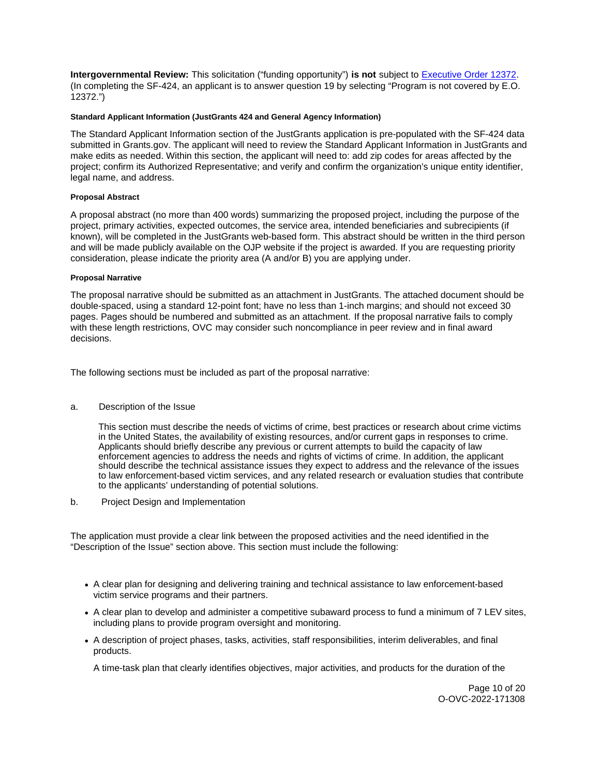<span id="page-9-0"></span>**Intergovernmental Review:** This solicitation ("funding opportunity") **is not** subject to [Executive Order 12372.](https://www.archives.gov/federal-register/codification/executive-order/12372.html) (In completing the SF-424, an applicant is to answer question 19 by selecting "Program is not covered by E.O. 12372.")

## **Standard Applicant Information (JustGrants 424 and General Agency Information)**

The Standard Applicant Information section of the JustGrants application is pre-populated with the SF-424 data submitted in [Grants.gov.](https://Grants.gov) The applicant will need to review the Standard Applicant Information in JustGrants and make edits as needed. Within this section, the applicant will need to: add zip codes for areas affected by the project; confirm its Authorized Representative; and verify and confirm the organization's unique entity identifier, legal name, and address.

## **Proposal Abstract**

A proposal abstract (no more than 400 words) summarizing the proposed project, including the purpose of the project, primary activities, expected outcomes, the service area, intended beneficiaries and subrecipients (if known), will be completed in the JustGrants web-based form. This abstract should be written in the third person and will be made publicly available on the OJP website if the project is awarded. If you are requesting priority consideration, please indicate the priority area (A and/or B) you are applying under.

## **Proposal Narrative**

The proposal narrative should be submitted as an attachment in JustGrants. The attached document should be double-spaced, using a standard 12-point font; have no less than 1-inch margins; and should not exceed 30 pages. Pages should be numbered and submitted as an attachment. If the proposal narrative fails to comply with these length restrictions, OVC may consider such noncompliance in peer review and in final award decisions.

The following sections must be included as part of the proposal narrative:

a. Description of the Issue

This section must describe the needs of victims of crime, best practices or research about crime victims in the United States, the availability of existing resources, and/or current gaps in responses to crime. Applicants should briefly describe any previous or current attempts to build the capacity of law enforcement agencies to address the needs and rights of victims of crime. In addition, the applicant should describe the technical assistance issues they expect to address and the relevance of the issues to law enforcement-based victim services, and any related research or evaluation studies that contribute to the applicants' understanding of potential solutions.

b. Project Design and Implementation

The application must provide a clear link between the proposed activities and the need identified in the "Description of the Issue" section above. This section must include the following:

- A clear plan for designing and delivering training and technical assistance to law enforcement-based victim service programs and their partners.
- A clear plan to develop and administer a competitive subaward process to fund a minimum of 7 LEV sites, including plans to provide program oversight and monitoring.
- A description of project phases, tasks, activities, staff responsibilities, interim deliverables, and final products.

A time-task plan that clearly identifies objectives, major activities, and products for the duration of the

Page 10 of 20 O-OVC-2022-171308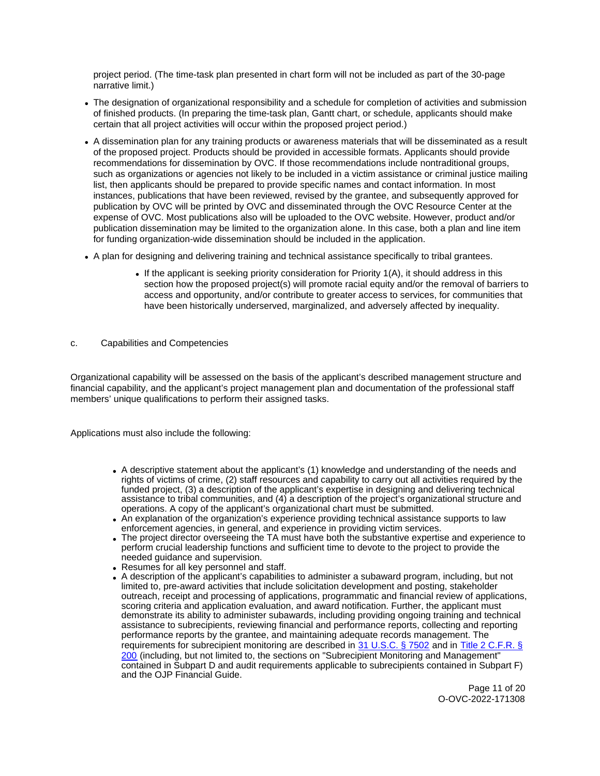project period. (The time-task plan presented in chart form will not be included as part of the 30-page narrative limit.)

- The designation of organizational responsibility and a schedule for completion of activities and submission of finished products. (In preparing the time-task plan, Gantt chart, or schedule, applicants should make certain that all project activities will occur within the proposed project period.)
- A dissemination plan for any training products or awareness materials that will be disseminated as a result of the proposed project. Products should be provided in accessible formats. Applicants should provide recommendations for dissemination by OVC. If those recommendations include nontraditional groups, such as organizations or agencies not likely to be included in a victim assistance or criminal justice mailing list, then applicants should be prepared to provide specific names and contact information. In most instances, publications that have been reviewed, revised by the grantee, and subsequently approved for publication by OVC will be printed by OVC and disseminated through the OVC Resource Center at the expense of OVC. Most publications also will be uploaded to the OVC website. However, product and/or publication dissemination may be limited to the organization alone. In this case, both a plan and line item for funding organization-wide dissemination should be included in the application.
- A plan for designing and delivering training and technical assistance specifically to tribal grantees.
	- If the applicant is seeking priority consideration for Priority  $1(A)$ , it should address in this section how the proposed project(s) will promote racial equity and/or the removal of barriers to access and opportunity, and/or contribute to greater access to services, for communities that have been historically underserved, marginalized, and adversely affected by inequality.
- c. Capabilities and Competencies

Organizational capability will be assessed on the basis of the applicant's described management structure and financial capability, and the applicant's project management plan and documentation of the professional staff members' unique qualifications to perform their assigned tasks.

Applications must also include the following:

- A descriptive statement about the applicant's (1) knowledge and understanding of the needs and rights of victims of crime, (2) staff resources and capability to carry out all activities required by the funded project, (3) a description of the applicant's expertise in designing and delivering technical assistance to tribal communities, and (4) a description of the project's organizational structure and operations. A copy of the applicant's organizational chart must be submitted.
- An explanation of the organization's experience providing technical assistance supports to law enforcement agencies, in general, and experience in providing victim services.
- The project director overseeing the TA must have both the substantive expertise and experience to perform crucial leadership functions and sufficient time to devote to the project to provide the needed guidance and supervision.
- Resumes for all key personnel and staff.
- A description of the applicant's capabilities to administer a subaward program, including, but not limited to, pre-award activities that include solicitation development and posting, stakeholder outreach, receipt and processing of applications, programmatic and financial review of applications, scoring criteria and application evaluation, and award notification. Further, the applicant must demonstrate its ability to administer subawards, including providing ongoing training and technical assistance to subrecipients, reviewing financial and performance reports, collecting and reporting performance reports by the grantee, and maintaining adequate records management. The requirements for subrecipient monitoring are described in [31 U.S.C. § 7502](#) and in [Title 2 C.F.R. §](http://www.ecfr.gov/cgi-bin/text-idx?SID=c640a14060d68b2376eb86e611f8fa40&mc=true&node=pt2.1.200&rgn=div5)  [200](http://www.ecfr.gov/cgi-bin/text-idx?SID=c640a14060d68b2376eb86e611f8fa40&mc=true&node=pt2.1.200&rgn=div5) (including, but not limited to, the sections on "Subrecipient Monitoring and Management" contained in Subpart D and audit requirements applicable to subrecipients contained in Subpart F) and the OJP Financial Guide.

Page 11 of 20 O-OVC-2022-171308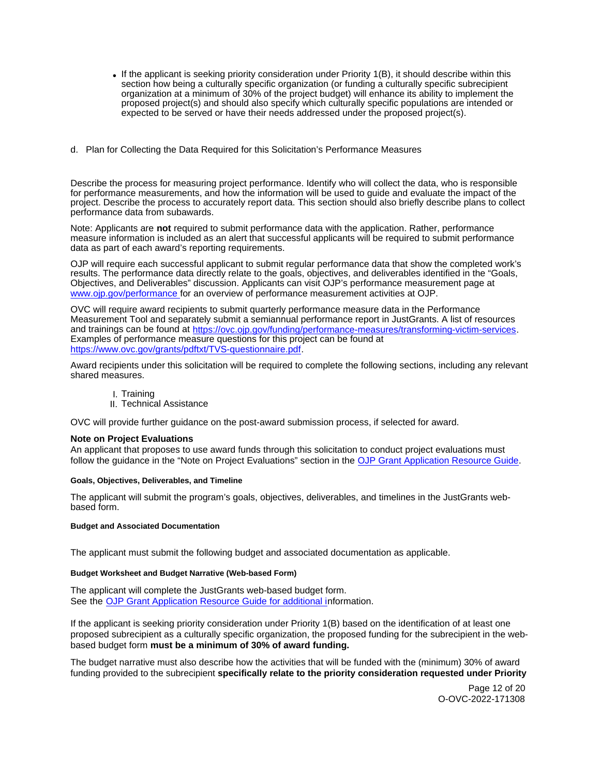- <span id="page-11-0"></span>If the applicant is seeking priority consideration under Priority 1(B), it should describe within this section how being a culturally specific organization (or funding a culturally specific subrecipient organization at a minimum of 30% of the project budget) will enhance its ability to implement the proposed project(s) and should also specify which culturally specific populations are intended or expected to be served or have their needs addressed under the proposed project(s).
- d. Plan for Collecting the Data Required for this Solicitation's Performance Measures

Describe the process for measuring project performance. Identify who will collect the data, who is responsible for performance measurements, and how the information will be used to guide and evaluate the impact of the project. Describe the process to accurately report data. This section should also briefly describe plans to collect performance data from subawards.

Note: Applicants are **not** required to submit performance data with the application. Rather, performance measure information is included as an alert that successful applicants will be required to submit performance data as part of each award's reporting requirements.

OJP will require each successful applicant to submit regular performance data that show the completed work's results. The performance data directly relate to the goals, objectives, and deliverables identified in the "Goals, Objectives, and Deliverables" discussion. Applicants can visit OJP's performance measurement page at [www.ojp.gov/performance f](https://www.ojp.gov/performance)or an overview of performance measurement activities at OJP.

OVC will require award recipients to submit quarterly performance measure data in the Performance Measurement Tool and separately submit a semiannual performance report in JustGrants. A list of resources and trainings can be found at [https://ovc.ojp.gov/funding/performance-measures/transforming-victim-services.](https://ovc.ojp.gov/funding/performance-measures/transforming-victim-services) Examples of performance measure questions for this project can be found at [https://www.ovc.gov/grants/pdftxt/TVS-questionnaire.pdf.](https://www.ovc.gov/grants/pdftxt/TVS-questionnaire.pdf)

Award recipients under this solicitation will be required to complete the following sections, including any relevant shared measures.

- I. Training
- II. Technical Assistance

OVC will provide further guidance on the post-award submission process, if selected for award.

# **Note on Project Evaluations**

An applicant that proposes to use award funds through this solicitation to conduct project evaluations must follow the guidance in the "Note on Project Evaluations" section in the [OJP Grant Application Resource Guide.](https://www.ojp.gov/funding/Apply/Resources/Grant-App-Resource-Guide.htm)

#### **Goals, Objectives, Deliverables, and Timeline**

The applicant will submit the program's goals, objectives, deliverables, and timelines in the JustGrants webbased form.

#### **Budget and Associated Documentation**

The applicant must submit the following budget and associated documentation as applicable.

#### **Budget Worksheet and Budget Narrative (Web-based Form)**

The applicant will complete the JustGrants web-based budget form. See the [OJP Grant Application Resource Guide](https://ojp.gov/funding/Apply/Resources/Grant-App-Resource-Guide.htm) for additional information.

If the applicant is seeking priority consideration under Priority 1(B) based on the identification of at least one proposed subrecipient as a culturally specific organization, the proposed funding for the subrecipient in the webbased budget form **must be a minimum of 30% of award funding.** 

The budget narrative must also describe how the activities that will be funded with the (minimum) 30% of award funding provided to the subrecipient **specifically relate to the priority consideration requested under Priority** 

> Page 12 of 20 O-OVC-2022-171308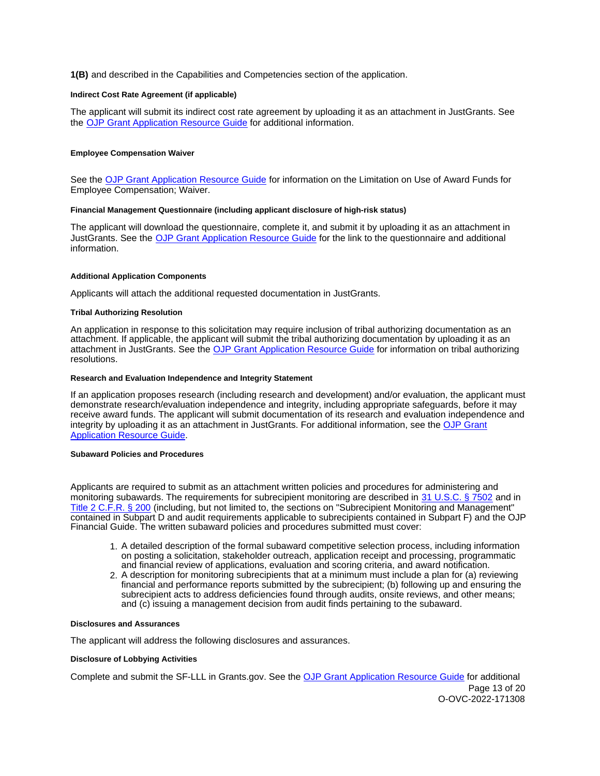<span id="page-12-0"></span>**1(B)** and described in the Capabilities and Competencies section of the application.

#### **Indirect Cost Rate Agreement (if applicable)**

The applicant will submit its indirect cost rate agreement by uploading it as an attachment in JustGrants. See the [OJP Grant Application Resource Guide](https://www.ojp.gov/funding/apply/ojp-grant-application-resource-guide#indirect-cost) for additional information.

#### **Employee Compensation Waiver**

See the [OJP Grant Application Resource Guide](https://www.ojp.gov/funding/apply/ojp-grant-application-resource-guide#limitation-use-award) for information on the Limitation on Use of Award Funds for Employee Compensation; Waiver.

#### **Financial Management Questionnaire (including applicant disclosure of high-risk status)**

The applicant will download the questionnaire, complete it, and submit it by uploading it as an attachment in JustGrants. See the [OJP Grant Application Resource Guide](https://www.ojp.gov/funding/apply/ojp-grant-application-resource-guide#fm-internal-controls-questionnaire) for the link to the questionnaire and additional information.

#### **Additional Application Components**

Applicants will attach the additional requested documentation in JustGrants.

#### **Tribal Authorizing Resolution**

An application in response to this solicitation may require inclusion of tribal authorizing documentation as an attachment. If applicable, the applicant will submit the tribal authorizing documentation by uploading it as an attachment in JustGrants. See the [OJP Grant Application Resource Guide](https://www.ojp.gov/funding/apply/ojp-grant-application-resource-guide#tribal-authorizing-resolution) for information on tribal authorizing resolutions.

#### **Research and Evaluation Independence and Integrity Statement**

If an application proposes research (including research and development) and/or evaluation, the applicant must demonstrate research/evaluation independence and integrity, including appropriate safeguards, before it may receive award funds. The applicant will submit documentation of its research and evaluation independence and integrity by uploading it as an attachment in JustGrants. For additional information, see the [OJP Grant](https://www.ojp.gov/funding/apply/ojp-grant-application-resource-guide#research-evaluation)  [Application Resource Guide.](https://www.ojp.gov/funding/apply/ojp-grant-application-resource-guide#research-evaluation)

## **Subaward Policies and Procedures**

Applicants are required to submit as an attachment written policies and procedures for administering and monitoring subawards. The requirements for subrecipient monitoring are described in [31 U.S.C. § 7502](#) and in [Title 2 C.F.R. § 200](http://www.ecfr.gov/cgi-bin/text-idx?SID=c640a14060d68b2376eb86e611f8fa40&mc=true&node=pt2.1.200&rgn=div5) (including, but not limited to, the sections on "Subrecipient Monitoring and Management" contained in Subpart D and audit requirements applicable to subrecipients contained in Subpart F) and the OJP Financial Guide. The written subaward policies and procedures submitted must cover:

- 1. A detailed description of the formal subaward competitive selection process, including information on posting a solicitation, stakeholder outreach, application receipt and processing, programmatic and financial review of applications, evaluation and scoring criteria, and award notification.
- 2. A description for monitoring subrecipients that at a minimum must include a plan for (a) reviewing financial and performance reports submitted by the subrecipient; (b) following up and ensuring the subrecipient acts to address deficiencies found through audits, onsite reviews, and other means; and (c) issuing a management decision from audit finds pertaining to the subaward.

## **Disclosures and Assurances**

The applicant will address the following disclosures and assurances.

#### **Disclosure of Lobbying Activities**

Complete and submit the SF-LLL in [Grants.gov](https://Grants.gov). See the [OJP Grant Application Resource Guide](https://www.ojp.gov/funding/apply/ojp-grant-application-resource-guide#disclosure-lobby) for additional Page 13 of 20 O-OVC-2022-171308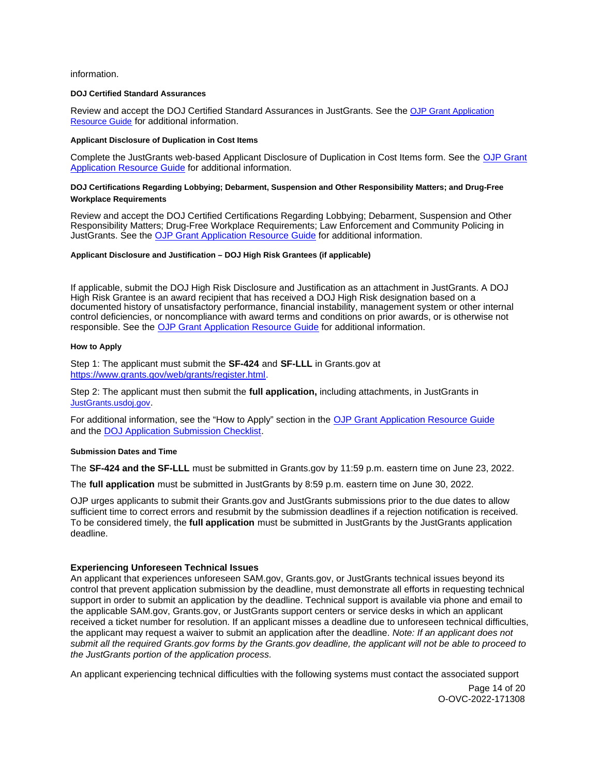## <span id="page-13-0"></span>information.

### **DOJ Certified Standard Assurances**

Review and accept the DOJ Certified Standard Assurances in JustGrants. See the [OJP Grant Application](https://www.ojp.gov/funding/apply/ojp-grant-application-resource-guide#administrative)  [Resource Guide](https://www.ojp.gov/funding/apply/ojp-grant-application-resource-guide#administrative) for additional information.

## **Applicant Disclosure of Duplication in Cost Items**

Complete the JustGrants web-based Applicant Disclosure of Duplication in Cost Items form. See the [OJP Grant](https://www.ojp.gov/funding/apply/ojp-grant-application-resource-guide#applicant-disclosure-pending-applications)  [Application Resource Guide](https://www.ojp.gov/funding/apply/ojp-grant-application-resource-guide#applicant-disclosure-pending-applications) for additional information.

# **DOJ Certifications Regarding Lobbying; Debarment, Suspension and Other Responsibility Matters; and Drug-Free Workplace Requirements**

Review and accept the DOJ Certified Certifications Regarding Lobbying; Debarment, Suspension and Other Responsibility Matters; Drug-Free Workplace Requirements; Law Enforcement and Community Policing in JustGrants. See the [OJP Grant Application Resource Guide](https://www.ojp.gov/funding/apply/ojp-grant-application-resource-guide#administrative) for additional information.

#### **Applicant Disclosure and Justification – DOJ High Risk Grantees (if applicable)**

If applicable, submit the DOJ High Risk Disclosure and Justification as an attachment in JustGrants. A DOJ High Risk Grantee is an award recipient that has received a DOJ High Risk designation based on a documented history of unsatisfactory performance, financial instability, management system or other internal control deficiencies, or noncompliance with award terms and conditions on prior awards, or is otherwise not responsible. See the [OJP Grant Application Resource Guide](https://www.ojp.gov/funding/apply/ojp-grant-application-resource-guide#applicant-disclosure-justification) for additional information.

#### **How to Apply**

Step 1: The applicant must submit the **SF-424** and **SF-LLL** in [Grants.gov](https://Grants.gov) at [https://www.grants.gov/web/grants/register.html.](https://www.grants.gov/web/grants/register.html)

Step 2: The applicant must then submit the **full application,** including attachments, in JustGrants in [JustGrants.usdoj.gov.](https://justicegrants.usdoj.gov/)

For additional information, see the "How to Apply" section in the [OJP Grant Application Resource Guide](https://www.ojp.gov/funding/apply/ojp-grant-application-resource-guide#apply)  and the [DOJ Application Submission Checklist.](https://justicegrants.usdoj.gov/sites/g/files/xyckuh296/files/media/document/appln-submission-checklist.pdf)

#### **Submission Dates and Time**

The **SF-424 and the SF-LLL** must be submitted in [Grants.gov](https://Grants.gov) by 11:59 p.m. eastern time on June 23, 2022.

The **full application** must be submitted in JustGrants by 8:59 p.m. eastern time on June 30, 2022.

OJP urges applicants to submit their [Grants.gov](https://Grants.gov) and JustGrants submissions prior to the due dates to allow sufficient time to correct errors and resubmit by the submission deadlines if a rejection notification is received. To be considered timely, the **full application** must be submitted in JustGrants by the JustGrants application deadline.

#### **Experiencing Unforeseen Technical Issues**

An applicant that experiences unforeseen SAM.gov, [Grants.gov](https://Grants.gov), or JustGrants technical issues beyond its control that prevent application submission by the deadline, must demonstrate all efforts in requesting technical support in order to submit an application by the deadline. Technical support is available via phone and email to the applicable SAM.gov, [Grants.gov,](https://Grants.gov) or JustGrants support centers or service desks in which an applicant received a ticket number for resolution. If an applicant misses a deadline due to unforeseen technical difficulties, the applicant may request a waiver to submit an application after the deadline. Note: If an applicant does not submit all the required [Grants.gov](https://Grants.gov) forms by the [Grants.gov](https://Grants.gov) deadline, the applicant will not be able to proceed to the JustGrants portion of the application process.

An applicant experiencing technical difficulties with the following systems must contact the associated support

Page 14 of 20 O-OVC-2022-171308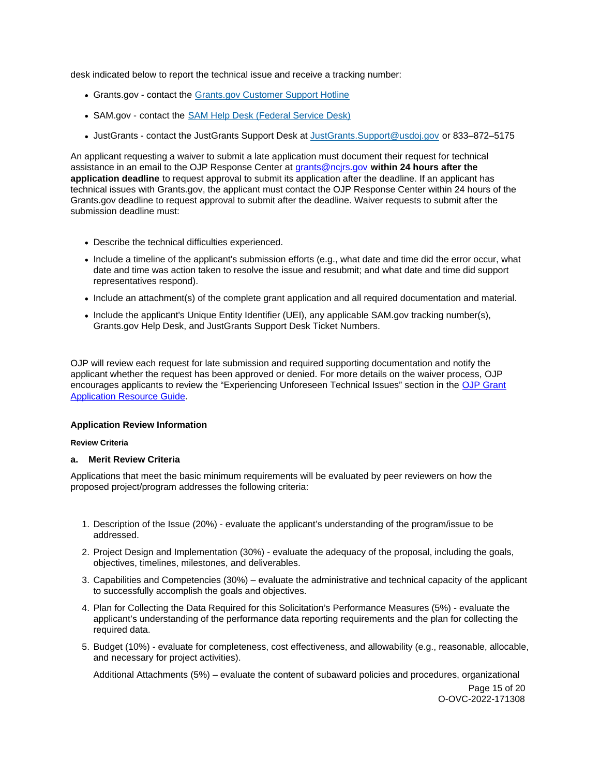<span id="page-14-0"></span>desk indicated below to report the technical issue and receive a tracking number:

- [Grants.gov](https://Grants.gov) contact the Grants.gov Customer Support Hotline
- SAM.gov contact the [SAM Help Desk \(Federal Service Desk\)](https://www.fsd.gov/gsafsd_sp)
- JustGrants contact the JustGrants Support Desk at [JustGrants.Support@usdoj.gov](mailto:JustGrants.Support@usdoj.gov) or 833–872–5175

An applicant requesting a waiver to submit a late application must document their request for technical assistance in an email to the OJP Response Center at [grants@ncjrs.gov](mailto:grants@ncjrs.gov) **within 24 hours after the application deadline** to request approval to submit its application after the deadline. If an applicant has technical issues with [Grants.gov,](https://Grants.gov) the applicant must contact the OJP Response Center within 24 hours of the [Grants.gov](https://Grants.gov) deadline to request approval to submit after the deadline. Waiver requests to submit after the submission deadline must:

- Describe the technical difficulties experienced.
- Include a timeline of the applicant's submission efforts (e.g., what date and time did the error occur, what date and time was action taken to resolve the issue and resubmit; and what date and time did support representatives respond).
- Include an attachment(s) of the complete grant application and all required documentation and material.
- Include the applicant's Unique Entity Identifier (UEI), any applicable SAM.gov tracking number(s), [Grants.gov](https://Grants.gov) Help Desk, and JustGrants Support Desk Ticket Numbers.

OJP will review each request for late submission and required supporting documentation and notify the applicant whether the request has been approved or denied. For more details on the waiver process, OJP encourages applicants to review the "Experiencing Unforeseen Technical Issues" section in the [OJP Grant](https://www.ojp.gov/funding/apply/ojp-grant-application-resource-guide#experiencing-unforeseen-technical-issues)  [Application Resource Guide.](https://www.ojp.gov/funding/apply/ojp-grant-application-resource-guide#experiencing-unforeseen-technical-issues)

# **Application Review Information**

# **Review Criteria**

# **a. Merit Review Criteria**

Applications that meet the basic minimum requirements will be evaluated by peer reviewers on how the proposed project/program addresses the following criteria:

- 1. Description of the Issue (20%) evaluate the applicant's understanding of the program/issue to be addressed.
- 2. Project Design and Implementation (30%) evaluate the adequacy of the proposal, including the goals, objectives, timelines, milestones, and deliverables.
- 3. Capabilities and Competencies (30%) evaluate the administrative and technical capacity of the applicant to successfully accomplish the goals and objectives.
- 4. Plan for Collecting the Data Required for this Solicitation's Performance Measures (5%) evaluate the applicant's understanding of the performance data reporting requirements and the plan for collecting the required data.
- 5. Budget (10%) evaluate for completeness, cost effectiveness, and allowability (e.g., reasonable, allocable, and necessary for project activities).

Additional Attachments (5%) – evaluate the content of subaward policies and procedures, organizational

Page 15 of 20 O-OVC-2022-171308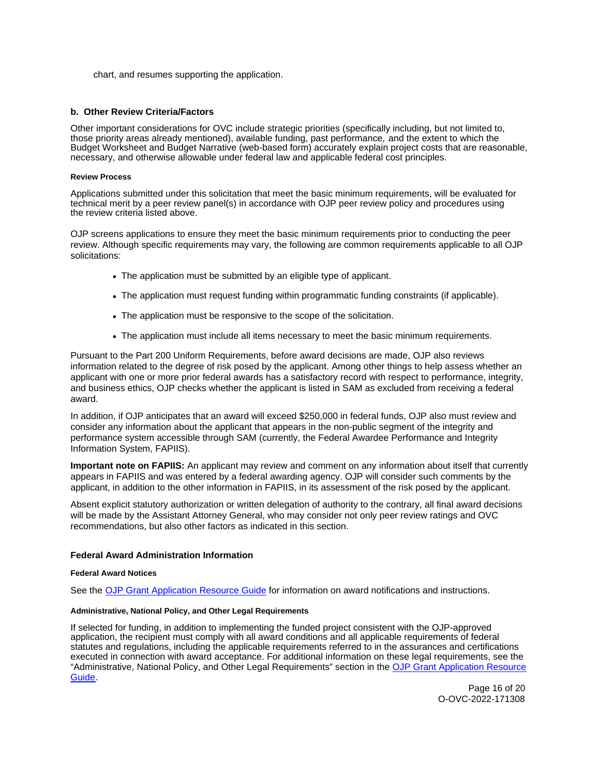<span id="page-15-0"></span>chart, and resumes supporting the application.

## **b. Other Review Criteria/Factors**

Other important considerations for OVC include strategic priorities (specifically including, but not limited to, those priority areas already mentioned), available funding, past performance, and the extent to which the Budget Worksheet and Budget Narrative (web-based form) accurately explain project costs that are reasonable, necessary, and otherwise allowable under federal law and applicable federal cost principles.

## **Review Process**

Applications submitted under this solicitation that meet the basic minimum requirements, will be evaluated for technical merit by a peer review panel(s) in accordance with OJP peer review policy and procedures using the review criteria listed above.

OJP screens applications to ensure they meet the basic minimum requirements prior to conducting the peer review. Although specific requirements may vary, the following are common requirements applicable to all OJP solicitations:

- The application must be submitted by an eligible type of applicant.
- The application must request funding within programmatic funding constraints (if applicable).
- The application must be responsive to the scope of the solicitation.
- The application must include all items necessary to meet the basic minimum requirements.

Pursuant to the Part 200 Uniform Requirements, before award decisions are made, OJP also reviews information related to the degree of risk posed by the applicant. Among other things to help assess whether an applicant with one or more prior federal awards has a satisfactory record with respect to performance, integrity, and business ethics, OJP checks whether the applicant is listed in SAM as excluded from receiving a federal award.

In addition, if OJP anticipates that an award will exceed \$250,000 in federal funds, OJP also must review and consider any information about the applicant that appears in the non-public segment of the integrity and performance system accessible through SAM (currently, the Federal Awardee Performance and Integrity Information System, FAPIIS).

**Important note on FAPIIS:** An applicant may review and comment on any information about itself that currently appears in FAPIIS and was entered by a federal awarding agency. OJP will consider such comments by the applicant, in addition to the other information in FAPIIS, in its assessment of the risk posed by the applicant.

Absent explicit statutory authorization or written delegation of authority to the contrary, all final award decisions will be made by the Assistant Attorney General, who may consider not only peer review ratings and OVC recommendations, but also other factors as indicated in this section.

## **Federal Award Administration Information**

#### **Federal Award Notices**

See the [OJP Grant Application Resource Guide](https://www.ojp.gov/funding/apply/ojp-grant-application-resource-guide#federal-award-notices) for information on award notifications and instructions.

## **Administrative, National Policy, and Other Legal Requirements**

If selected for funding, in addition to implementing the funded project consistent with the OJP-approved application, the recipient must comply with all award conditions and all applicable requirements of federal statutes and regulations, including the applicable requirements referred to in the assurances and certifications executed in connection with award acceptance. For additional information on these legal requirements, see the "Administrative, National Policy, and Other Legal Requirements" section in the [OJP Grant Application Resource](https://www.ojp.gov/funding/apply/ojp-grant-application-resource-guide#administrative)  [Guide.](https://www.ojp.gov/funding/apply/ojp-grant-application-resource-guide#administrative)

> Page 16 of 20 O-OVC-2022-171308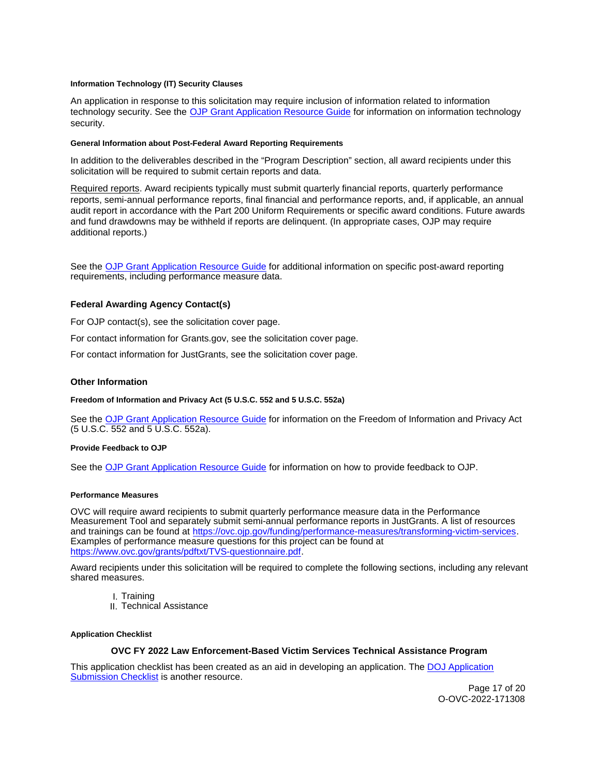#### <span id="page-16-0"></span>**Information Technology (IT) Security Clauses**

An application in response to this solicitation may require inclusion of information related to information technology security. See the [OJP Grant Application Resource Guide](https://www.ojp.gov/funding/apply/ojp-grant-application-resource-guide#information-technology) for information on information technology security.

#### **General Information about Post-Federal Award Reporting Requirements**

In addition to the deliverables described in the "Program Description" section, all award recipients under this solicitation will be required to submit certain reports and data.

Required reports. Award recipients typically must submit quarterly financial reports, quarterly performance reports, semi-annual performance reports, final financial and performance reports, and, if applicable, an annual audit report in accordance with the Part 200 Uniform Requirements or specific award conditions. Future awards and fund drawdowns may be withheld if reports are delinquent. (In appropriate cases, OJP may require additional reports.)

See the [OJP Grant Application Resource Guide](https://www.ojp.gov/funding/Apply/Resources/Grant-App-Resource-Guide.htm) for additional information on specific post-award reporting requirements, including performance measure data.

## **Federal Awarding Agency Contact(s)**

For OJP contact(s), see the solicitation cover page.

For contact information for [Grants.gov,](https://Grants.gov) see the solicitation cover page.

For contact information for JustGrants, see the solicitation cover page.

## **Other Information**

**Freedom of Information and Privacy Act (5 U.S.C. 552 and 5 U.S.C. 552a)** 

See the [OJP Grant Application Resource Guide](https://www.ojp.gov/funding/apply/ojp-grant-application-resource-guide#foia) for information on the Freedom of Information and Privacy Act (5 U.S.C. 552 and 5 U.S.C. 552a).

#### **Provide Feedback to OJP**

See the [OJP Grant Application Resource Guide](https://www.ojp.gov/funding/apply/ojp-grant-application-resource-guide#feedback) for information on how to provide feedback to OJP.

#### **Performance Measures**

OVC will require award recipients to submit quarterly performance measure data in the Performance Measurement Tool and separately submit semi-annual performance reports in JustGrants. A list of resources and trainings can be found at [https://ovc.ojp.gov/funding/performance-measures/transforming-victim-services.](https://ovc.ojp.gov/funding/performance-measures/transforming-victim-services) Examples of performance measure questions for this project can be found at [https://www.ovc.gov/grants/pdftxt/TVS-questionnaire.pdf.](https://www.ovc.gov/grants/pdftxt/TVS-questionnaire.pdf)

Award recipients under this solicitation will be required to complete the following sections, including any relevant shared measures.

- I. Training
- II. Technical Assistance

#### **Application Checklist**

## **OVC FY 2022 Law Enforcement-Based Victim Services Technical Assistance Program**

This application checklist has been created as an aid in developing an application. The [DOJ Application](https://justicegrants.usdoj.gov/sites/g/files/xyckuh296/files/media/document/appln-submission-checklist.pdf)  [Submission Checklist](https://justicegrants.usdoj.gov/sites/g/files/xyckuh296/files/media/document/appln-submission-checklist.pdf) is another resource.

> Page 17 of 20 O-OVC-2022-171308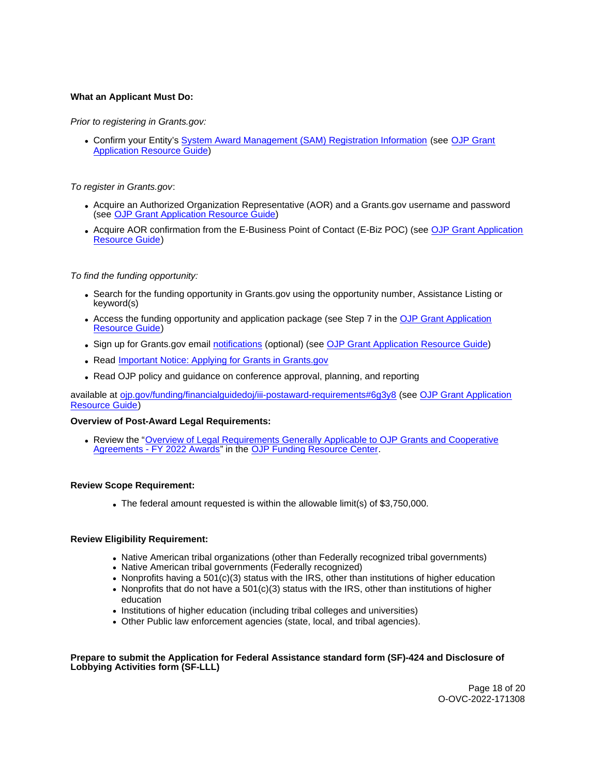# **What an Applicant Must Do:**

# Prior to registering in [Grants.gov:](https://Grants.gov)

Confirm your Entity's [System Award Management \(SAM\)](https://sam.gov/SAM/) Registration Information (see [OJP Grant](https://www.ojp.gov/funding/apply/ojp-grant-application-resource-guide#apply)  [Application Resource Guide\)](https://www.ojp.gov/funding/apply/ojp-grant-application-resource-guide#apply)

# To register in [Grants.gov](https://Grants.gov):

- Acquire an Authorized Organization Representative (AOR) and a [Grants.gov](https://Grants.gov) username and password (see [OJP Grant Application Resource Guide\)](https://www.ojp.gov/funding/apply/ojp-grant-application-resource-guide#apply)
- Acquire AOR confirmation from the E-Business Point of Contact (E-Biz POC) (see OJP Grant Application [Resource Guide\)](https://www.ojp.gov/funding/apply/ojp-grant-application-resource-guide#apply)

## To find the funding opportunity:

- Search for the funding opportunity in [Grants.gov](https://Grants.gov) using the opportunity number, Assistance Listing or keyword(s)
- Access the funding opportunity and application package (see Step 7 in the [OJP Grant Application](https://www.ojp.gov/funding/apply/ojp-grant-application-resource-guide#apply)  [Resource Guide\)](https://www.ojp.gov/funding/apply/ojp-grant-application-resource-guide#apply)
- Sign up for [Grants.gov](https://Grants.gov) email [notifications](https://www.grants.gov/web/grants/manage-subscriptions.html) (optional) (see [OJP Grant Application Resource Guide\)](https://www.ojp.gov/funding/apply/ojp-grant-application-resource-guide#apply)
- Read **Important Notice: Applying for Grants in Grants.gov**
- Read OJP policy and guidance on conference approval, planning, and reporting

available at [ojp.gov/funding/financialguidedoj/iii-postaward-requirements#6g3y8](https://www.ojp.gov/funding/financialguidedoj/iii-postaward-requirements#6g3y8) (see [OJP Grant Application](https://www.ojp.gov/funding/apply/ojp-grant-application-resource-guide#prior-approval)  [Resource Guide\)](https://www.ojp.gov/funding/apply/ojp-grant-application-resource-guide#prior-approval)

## **Overview of Post-Award Legal Requirements:**

Review the "[Overview of Legal Requirements Generally Applicable to OJP Grants and Cooperative](https://www.ojp.gov/funding/explore/legal-overview-awards)  [Agreements - FY 2022 Awards"](https://www.ojp.gov/funding/explore/legal-overview-awards) in the [OJP Funding Resource Center.](https://www.ojp.gov/funding/explore/legal-overview-awards)

## **Review Scope Requirement:**

The federal amount requested is within the allowable limit(s) of \$3,750,000.

# **Review Eligibility Requirement:**

- Native American tribal organizations (other than Federally recognized tribal governments)
- Native American tribal governments (Federally recognized)
- Nonprofits having a  $501(c)(3)$  status with the IRS, other than institutions of higher education
- Nonprofits that do not have a  $501(c)(3)$  status with the IRS, other than institutions of higher education
- Institutions of higher education (including tribal colleges and universities)
- Other Public law enforcement agencies (state, local, and tribal agencies).

## **Prepare to submit the Application for Federal Assistance standard form (SF)-424 and Disclosure of Lobbying Activities form (SF-LLL)**

Page 18 of 20 O-OVC-2022-171308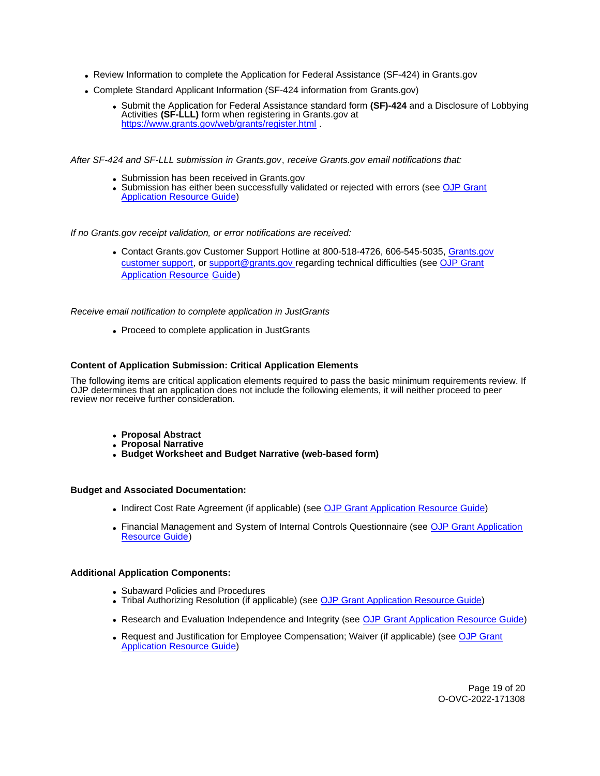- Review Information to complete the Application for Federal Assistance (SF-424) in [Grants.gov](https://Grants.gov)
- Complete Standard Applicant Information (SF-424 information from [Grants.gov](https://Grants.gov))
	- Submit the Application for Federal Assistance standard form **(SF)-424** and a Disclosure of Lobbying Activities **(SF-LLL)** form when registering in [Grants.gov](https://Grants.gov) at https://www.grants.gov/web/grants/register.html

After SF-424 and SF-LLL submission in [Grants.gov](https://Grants.gov), receive [Grants.gov](https://Grants.gov) email notifications that:

- Submission has been received in [Grants.gov](https://Grants.gov)
- Submission has either been successfully validated or rejected with errors (see OJP Grant [Application Resource Guide\)](https://ojp.gov/funding/Apply/Resources/Grant-App-Resource-Guide.htm)

If no [Grants.gov](https://Grants.gov) receipt validation, or error notifications are received:

• Contact [Grants.gov](https://Grants.gov) Customer Support Hotline at 800-518-4726, 606-545-5035, Grants.gov [customer support,](https://www.grants.gov/web/grants/support.html) or [support@grants.gov r](mailto:support@grants.gov)egarding technical difficulties (see [OJP Grant](https://ojp.gov/funding/Apply/Resources/Grant-App-Resource-Guide.htm)  [Application Resource Guide\)](https://ojp.gov/funding/Apply/Resources/Grant-App-Resource-Guide.htm)

Receive email notification to complete application in JustGrants

• Proceed to complete application in JustGrants

# **Content of Application Submission: Critical Application Elements**

The following items are critical application elements required to pass the basic minimum requirements review. If OJP determines that an application does not include the following elements, it will neither proceed to peer review nor receive further consideration.

- **Proposal Abstract**
- **Proposal Narrative**
- **Budget Worksheet and Budget Narrative (web-based form)**

#### **Budget and Associated Documentation:**

- Indirect Cost Rate Agreement (if applicable) (see [OJP Grant Application Resource Guide\)](https://ojp.gov/funding/Apply/Resources/Grant-App-Resource-Guide.htm)
- Financial Management and System of Internal Controls Questionnaire (see [OJP Grant Application](https://ojp.gov/funding/Apply/Resources/Grant-App-Resource-Guide.htm)  [Resource Guide\)](https://ojp.gov/funding/Apply/Resources/Grant-App-Resource-Guide.htm)

# **Additional Application Components:**

- Subaward Policies and Procedures
- Tribal Authorizing Resolution (if applicable) (see [OJP Grant Application Resource Guide\)](https://ojp.gov/funding/Apply/Resources/Grant-App-Resource-Guide.htm)
- Research and Evaluation Independence and Integrity (see [OJP Grant Application Resource Guide\)](https://ojp.gov/funding/Apply/Resources/Grant-App-Resource-Guide.htm)
- Request and Justification for Employee Compensation; Waiver (if applicable) (see [OJP Grant](https://ojp.gov/funding/Apply/Resources/Grant-App-Resource-Guide.htm)  **[Application Resource Guide\)](https://ojp.gov/funding/Apply/Resources/Grant-App-Resource-Guide.htm)**